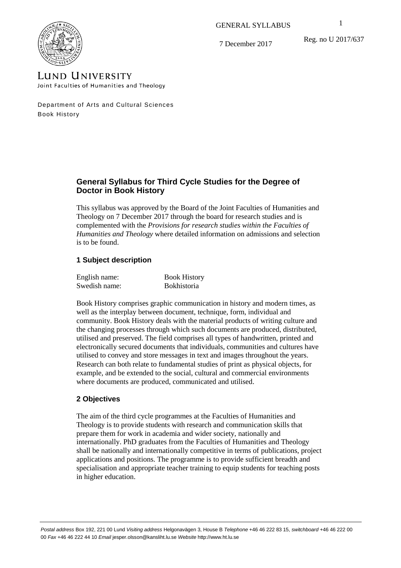GENERAL SYLLABUS

Reg. no U 2017/637



7 December 2017

# **LUND UNIVERSITY** Joint Faculties of Humanities and Theology

Department of Arts and Cultural Sciences Book History

# **General Syllabus for Third Cycle Studies for the Degree of Doctor in Book History**

This syllabus was approved by the Board of the Joint Faculties of Humanities and Theology on 7 December 2017 through the board for research studies and is complemented with the *Provisions for research studies within the Faculties of Humanities and Theology* where detailed information on admissions and selection is to be found.

# **1 Subject description**

| English name: | <b>Book History</b> |
|---------------|---------------------|
| Swedish name: | <b>Bokhistoria</b>  |

Book History comprises graphic communication in history and modern times, as well as the interplay between document, technique, form, individual and community. Book History deals with the material products of writing culture and the changing processes through which such documents are produced, distributed, utilised and preserved. The field comprises all types of handwritten, printed and electronically secured documents that individuals, communities and cultures have utilised to convey and store messages in text and images throughout the years. Research can both relate to fundamental studies of print as physical objects, for example, and be extended to the social, cultural and commercial environments where documents are produced, communicated and utilised.

# **2 Objectives**

The aim of the third cycle programmes at the Faculties of Humanities and Theology is to provide students with research and communication skills that prepare them for work in academia and wider society, nationally and internationally. PhD graduates from the Faculties of Humanities and Theology shall be nationally and internationally competitive in terms of publications, project applications and positions. The programme is to provide sufficient breadth and specialisation and appropriate teacher training to equip students for teaching posts in higher education.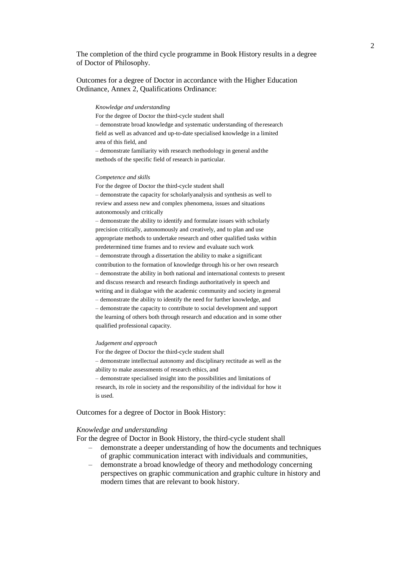The completion of the third cycle programme in Book History results in a degree of Doctor of Philosophy.

Outcomes for a degree of Doctor in accordance with the Higher Education Ordinance, Annex 2, Qualifications Ordinance:

#### *Knowledge and understanding*

For the degree of Doctor the third-cycle student shall – demonstrate broad knowledge and systematic understanding of the research field as well as advanced and up-to-date specialised knowledge in a limited area of this field, and – demonstrate familiarity with research methodology in general andthe methods of the specific field of research in particular.

#### *Competence and skills*

For the degree of Doctor the third-cycle student shall – demonstrate the capacity for scholarlyanalysis and synthesis as well to review and assess new and complex phenomena, issues and situations autonomously and critically

– demonstrate the ability to identify and formulate issues with scholarly precision critically, autonomously and creatively, and to plan and use appropriate methods to undertake research and other qualified tasks within predetermined time frames and to review and evaluate such work – demonstrate through a dissertation the ability to make a significant contribution to the formation of knowledge through his or her own research – demonstrate the ability in both national and international contexts to present and discuss research and research findings authoritatively in speech and writing and in dialogue with the academic community and society in general – demonstrate the ability to identify the need for further knowledge, and – demonstrate the capacity to contribute to social development and support the learning of others both through research and education and in some other qualified professional capacity.

#### *Judgement and approach*

For the degree of Doctor the third-cycle student shall – demonstrate intellectual autonomy and disciplinary rectitude as well as the ability to make assessments of research ethics, and – demonstrate specialised insight into the possibilities and limitations of research, its role in society and the responsibility of the individual for how it is used.

### Outcomes for a degree of Doctor in Book History:

#### *Knowledge and understanding*

For the degree of Doctor in Book History, the third-cycle student shall

- demonstrate a deeper understanding of how the documents and techniques of graphic communication interact with individuals and communities,
- demonstrate a broad knowledge of theory and methodology concerning perspectives on graphic communication and graphic culture in history and modern times that are relevant to book history.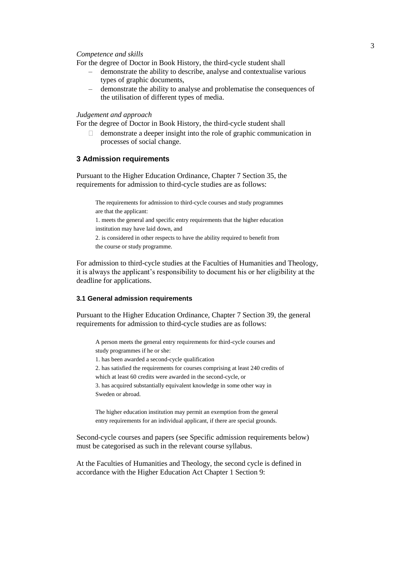#### *Competence and skills*

For the degree of Doctor in Book History, the third-cycle student shall

- demonstrate the ability to describe, analyse and contextualise various types of graphic documents,
- demonstrate the ability to analyse and problematise the consequences of the utilisation of different types of media.

#### *Judgement and approach*

For the degree of Doctor in Book History, the third-cycle student shall

 $\Box$  demonstrate a deeper insight into the role of graphic communication in processes of social change.

## **3 Admission requirements**

Pursuant to the Higher Education Ordinance, Chapter 7 Section 35, the requirements for admission to third-cycle studies are as follows:

The requirements for admission to third-cycle courses and study programmes are that the applicant: 1. meets the general and specific entry requirements that the higher education institution may have laid down, and 2. is considered in other respects to have the ability required to benefit from the course or study programme.

For admission to third-cycle studies at the Faculties of Humanities and Theology, it is always the applicant's responsibility to document his or her eligibility at the deadline for applications.

#### **3.1 General admission requirements**

Pursuant to the Higher Education Ordinance, Chapter 7 Section 39, the general requirements for admission to third-cycle studies are as follows:

A person meets the general entry requirements for third-cycle courses and study programmes if he or she:

1. has been awarded a second-cycle qualification

2. has satisfied the requirements for courses comprising at least 240 credits of

which at least 60 credits were awarded in the second-cycle, or

3. has acquired substantially equivalent knowledge in some other way in Sweden or abroad.

The higher education institution may permit an exemption from the general entry requirements for an individual applicant, if there are special grounds.

Second-cycle courses and papers (see Specific admission requirements below) must be categorised as such in the relevant course syllabus.

At the Faculties of Humanities and Theology, the second cycle is defined in accordance with the Higher Education Act Chapter 1 Section 9: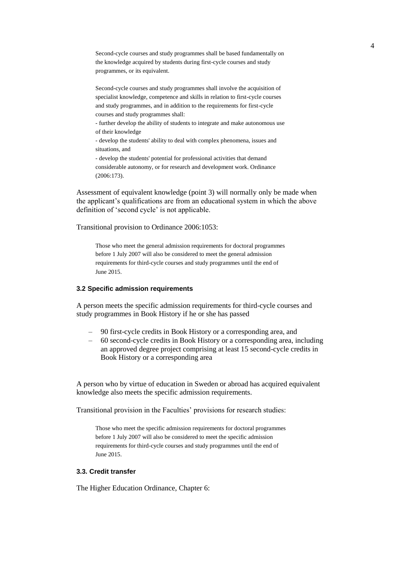Second-cycle courses and study programmes shall be based fundamentally on the knowledge acquired by students during first-cycle courses and study programmes, or its equivalent.

Second-cycle courses and study programmes shall involve the acquisition of specialist knowledge, competence and skills in relation to first-cycle courses and study programmes, and in addition to the requirements for first-cycle courses and study programmes shall:

- further develop the ability of students to integrate and make autonomous use of their knowledge

- develop the students' ability to deal with complex phenomena, issues and situations, and

- develop the students' potential for professional activities that demand considerable autonomy, or for research and development work. Ordinance (2006:173).

Assessment of equivalent knowledge (point 3) will normally only be made when the applicant's qualifications are from an educational system in which the above definition of 'second cycle' is not applicable.

Transitional provision to Ordinance 2006:1053:

Those who meet the general admission requirements for doctoral programmes before 1 July 2007 will also be considered to meet the general admission requirements for third-cycle courses and study programmes until the end of June 2015.

### **3.2 Specific admission requirements**

A person meets the specific admission requirements for third-cycle courses and study programmes in Book History if he or she has passed

- 90 first-cycle credits in Book History or a corresponding area, and
- 60 second-cycle credits in Book History or a corresponding area, including an approved degree project comprising at least 15 second-cycle credits in Book History or a corresponding area

A person who by virtue of education in Sweden or abroad has acquired equivalent knowledge also meets the specific admission requirements.

Transitional provision in the Faculties' provisions for research studies:

Those who meet the specific admission requirements for doctoral programmes before 1 July 2007 will also be considered to meet the specific admission requirements for third-cycle courses and study programmes until the end of June 2015.

## **3.3. Credit transfer**

The Higher Education Ordinance, Chapter 6: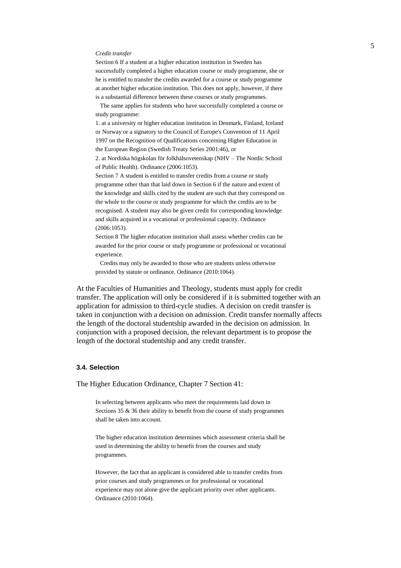#### *Credit transfer*

Section 6 If a student at a higher education institution in Sweden has successfully completed a higher education course or study programme, she or he is entitled to transfer the credits awarded for a course or study programme at another higher education institution. This does not apply, however, if there is a substantial difference between these courses or study programmes.

The same applies for students who have successfully completed a course or study programme:

1. at a university or higher education institution in Denmark, Finland, Iceland or Norway or a signatory to the Council of Europe's Convention of 11 April 1997 on the Recognition of Qualifications concerning Higher Education in the European Region (Swedish Treaty Series 2001:46), or

2. at Nordiska högskolan för folkhälsovetenskap (NHV – The Nordic School of Public Health). Ordinance (2006:1053).

Section 7 A student is entitled to transfer credits from a course or study programme other than that laid down in Section 6 if the nature and extent of the knowledge and skills cited by the student are such that they correspond on the whole to the course or study programme for which the credits are to be recognised. A student may also be given credit for corresponding knowledge and skills acquired in a vocational or professional capacity. Ordinance (2006:1053).

Section 8 The higher education institution shall assess whether credits can be awarded for the prior course or study programme or professional or vocational experience.

Credits may only be awarded to those who are students unless otherwise provided by statute or ordinance. Ordinance (2010:1064).

At the Faculties of Humanities and Theology, students must apply for credit transfer. The application will only be considered if it is submitted together with an application for admission to third-cycle studies. A decision on credit transfer is taken in conjunction with a decision on admission. Credit transfer normally affects the length of the doctoral studentship awarded in the decision on admission. In conjunction with a proposed decision, the relevant department is to propose the length of the doctoral studentship and any credit transfer.

### **3.4. Selection**

The Higher Education Ordinance, Chapter 7 Section 41:

In selecting between applicants who meet the requirements laid down in Sections 35 & 36 their ability to benefit from the course of study programmes shall be taken into account.

The higher education institution determines which assessment criteria shall be used in determining the ability to benefit from the courses and study programmes.

However, the fact that an applicant is considered able to transfer credits from prior courses and study programmes or for professional or vocational experience may not alone give the applicant priority over other applicants. Ordinance (2010:1064).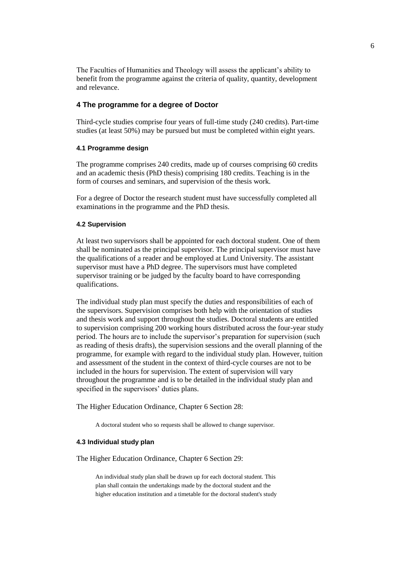The Faculties of Humanities and Theology will assess the applicant's ability to benefit from the programme against the criteria of quality, quantity, development and relevance.

## **4 The programme for a degree of Doctor**

Third-cycle studies comprise four years of full-time study (240 credits). Part-time studies (at least 50%) may be pursued but must be completed within eight years.

## **4.1 Programme design**

The programme comprises 240 credits, made up of courses comprising 60 credits and an academic thesis (PhD thesis) comprising 180 credits. Teaching is in the form of courses and seminars, and supervision of the thesis work.

For a degree of Doctor the research student must have successfully completed all examinations in the programme and the PhD thesis.

## **4.2 Supervision**

At least two supervisors shall be appointed for each doctoral student. One of them shall be nominated as the principal supervisor. The principal supervisor must have the qualifications of a reader and be employed at Lund University. The assistant supervisor must have a PhD degree. The supervisors must have completed supervisor training or be judged by the faculty board to have corresponding qualifications.

The individual study plan must specify the duties and responsibilities of each of the supervisors. Supervision comprises both help with the orientation of studies and thesis work and support throughout the studies. Doctoral students are entitled to supervision comprising 200 working hours distributed across the four-year study period. The hours are to include the supervisor's preparation for supervision (such as reading of thesis drafts), the supervision sessions and the overall planning of the programme, for example with regard to the individual study plan. However, tuition and assessment of the student in the context of third-cycle courses are not to be included in the hours for supervision. The extent of supervision will vary throughout the programme and is to be detailed in the individual study plan and specified in the supervisors' duties plans.

The Higher Education Ordinance, Chapter 6 Section 28:

A doctoral student who so requests shall be allowed to change supervisor.

### **4.3 Individual study plan**

The Higher Education Ordinance, Chapter 6 Section 29:

An individual study plan shall be drawn up for each doctoral student. This plan shall contain the undertakings made by the doctoral student and the higher education institution and a timetable for the doctoral student's study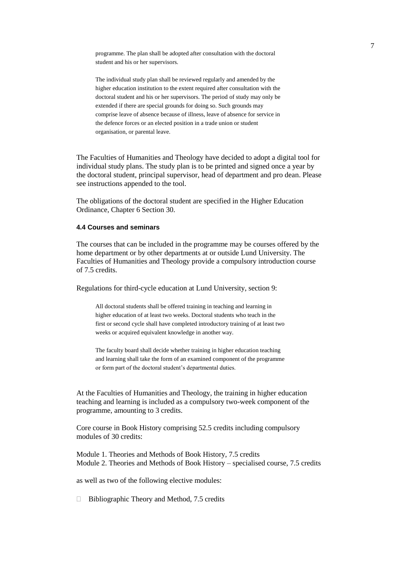programme. The plan shall be adopted after consultation with the doctoral student and his or her supervisors.

The individual study plan shall be reviewed regularly and amended by the higher education institution to the extent required after consultation with the doctoral student and his or her supervisors. The period of study may only be extended if there are special grounds for doing so. Such grounds may comprise leave of absence because of illness, leave of absence for service in the defence forces or an elected position in a trade union or student organisation, or parental leave.

The Faculties of Humanities and Theology have decided to adopt a digital tool for individual study plans. The study plan is to be printed and signed once a year by the doctoral student, principal supervisor, head of department and pro dean. Please see instructions appended to the tool.

The obligations of the doctoral student are specified in the Higher Education Ordinance, Chapter 6 Section 30.

## **4.4 Courses and seminars**

The courses that can be included in the programme may be courses offered by the home department or by other departments at or outside Lund University. The Faculties of Humanities and Theology provide a compulsory introduction course of 7.5 credits.

Regulations for third-cycle education at Lund University, section 9:

All doctoral students shall be offered training in teaching and learning in higher education of at least two weeks. Doctoral students who teach in the first or second cycle shall have completed introductory training of at least two weeks or acquired equivalent knowledge in another way.

The faculty board shall decide whether training in higher education teaching and learning shall take the form of an examined component of the programme or form part of the doctoral student's departmental duties.

At the Faculties of Humanities and Theology, the training in higher education teaching and learning is included as a compulsory two-week component of the programme, amounting to 3 credits.

Core course in Book History comprising 52.5 credits including compulsory modules of 30 credits:

Module 1. Theories and Methods of Book History, 7.5 credits Module 2. Theories and Methods of Book History – specialised course, 7.5 credits

as well as two of the following elective modules:

 $\Box$  Bibliographic Theory and Method, 7.5 credits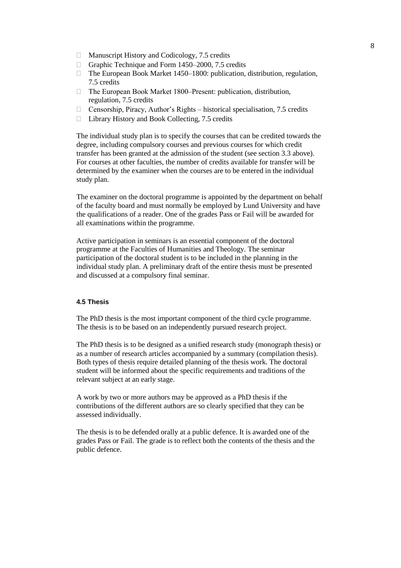- □ Manuscript History and Codicology, 7.5 credits
- Graphic Technique and Form 1450–2000, 7.5 credits
- □ The European Book Market 1450–1800: publication, distribution, regulation, 7.5 credits
- □ The European Book Market 1800–Present: publication, distribution, regulation, 7.5 credits
- □ Censorship, Piracy, Author's Rights historical specialisation, 7.5 credits
- □ Library History and Book Collecting, 7.5 credits

The individual study plan is to specify the courses that can be credited towards the degree, including compulsory courses and previous courses for which credit transfer has been granted at the admission of the student (see section 3.3 above). For courses at other faculties, the number of credits available for transfer will be determined by the examiner when the courses are to be entered in the individual study plan.

The examiner on the doctoral programme is appointed by the department on behalf of the faculty board and must normally be employed by Lund University and have the qualifications of a reader. One of the grades Pass or Fail will be awarded for all examinations within the programme.

Active participation in seminars is an essential component of the doctoral programme at the Faculties of Humanities and Theology. The seminar participation of the doctoral student is to be included in the planning in the individual study plan. A preliminary draft of the entire thesis must be presented and discussed at a compulsory final seminar.

## **4.5 Thesis**

The PhD thesis is the most important component of the third cycle programme. The thesis is to be based on an independently pursued research project.

The PhD thesis is to be designed as a unified research study (monograph thesis) or as a number of research articles accompanied by a summary (compilation thesis). Both types of thesis require detailed planning of the thesis work. The doctoral student will be informed about the specific requirements and traditions of the relevant subject at an early stage.

A work by two or more authors may be approved as a PhD thesis if the contributions of the different authors are so clearly specified that they can be assessed individually.

The thesis is to be defended orally at a public defence. It is awarded one of the grades Pass or Fail. The grade is to reflect both the contents of the thesis and the public defence.